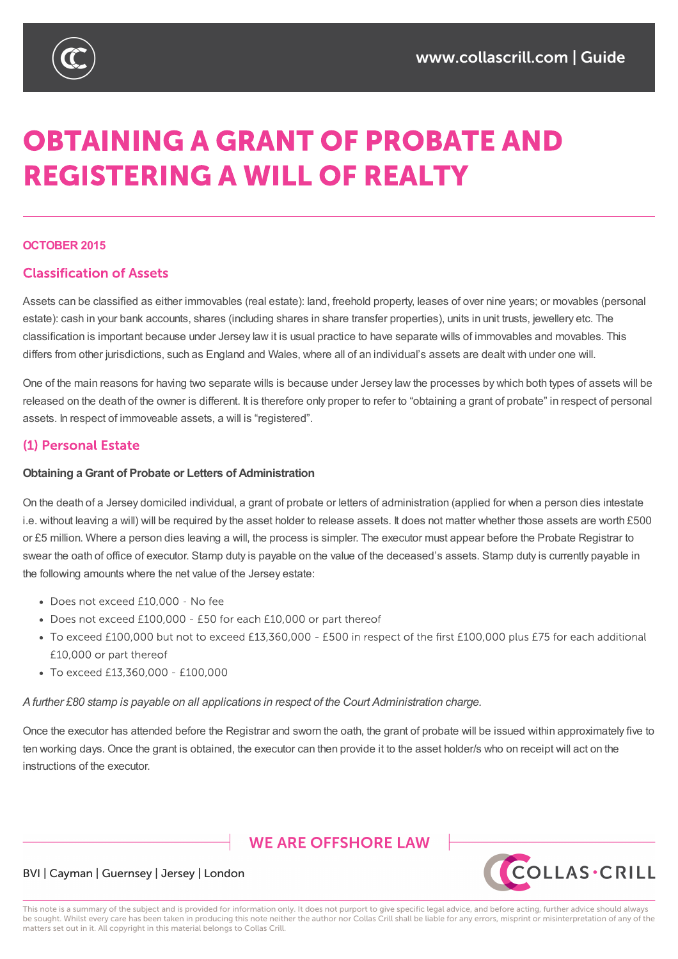

# **OBTAINING A GRANT OF PROBATE AND REGISTERING A WILL OF REALTY**

#### **OCTOBER 2015**

# **Classification of Assets**

Assets can be classified as either immovables (real estate): land, freehold property, leases of over nine years; or movables (personal estate): cash in your bank accounts, shares (including shares in share transfer properties), units in unit trusts, jewellery etc. The classification is important because under Jersey law it is usual practice to have separate wills of immovables and movables. This differs from other jurisdictions, such as England and Wales, where all of an individual's assets are dealt with under one will.

One of the main reasons for having two separate wills is because under Jersey law the processes by which both types of assets will be released on the death of the owner is different. It is therefore only proper to refer to "obtaining a grant of probate" in respect of personal assets. In respect of immoveable assets, a will is "registered".

## (1) Personal Estate

#### **Obtaining a Grant of Probate or Letters of Administration**

On the death of a Jersey domiciled individual, a grant of probate or letters of administration (applied for when a person dies intestate i.e. without leaving a will) will be required by the asset holder to release assets. It does not matter whether those assets are worth £500 or £5 million. Where a person dies leaving a will, the process is simpler. The executor must appear before the Probate Registrar to swear the oath of office of executor. Stamp duty is payable on the value of the deceased's assets. Stamp duty is currently payable in the following amounts where the net value of the Jersey estate:

- Does not exceed £10,000 No fee
- Does not exceed £100,000 £50 for each £10,000 or part thereof
- To exceed £100,000 but not to exceed £13,360,000 £500 in respect of the first £100,000 plus £75 for each additional £10,000 or part thereof
- To exceed £13,360,000 £100,000

*Afurther £80 stamp is payable on all applications in respect of the Court Administration charge.*

Once the executor has attended before the Registrar and sworn the oath, the grant of probate will be issued within approximately five to ten working days. Once the grant is obtained, the executor can then provide it to the asset holder/s who on receipt will act on the instructions of the executor.

# **WE ARE OFFSHORE LAW**



#### BVI | Cayman | Guernsey | Jersey | London

This note is a summary of the subject and is provided for information only. It does not purport to give specific legal advice, and before acting, further advice should always be sought. Whilst every care has been taken in producing this note neither the author nor Collas Crill shall be liable for any errors, misprint or misinterpretation of any of the matters set out in it. All copyright in this material belongs to Collas Crill.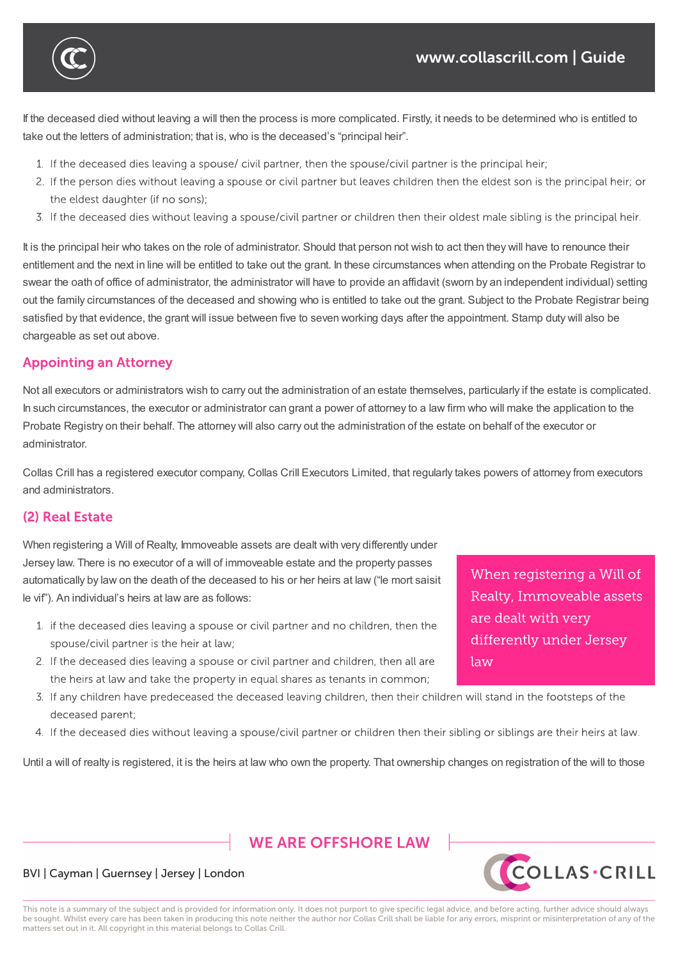If the deceased died without leaving a will then the process is more complicated. Firstly, it needs to be determined who is entitled to take out the letters of administration; that is, who is the deceased's "principal heir".

ten working days. Once the grant is obtained, the executor can then provide it to the asset holder/s who on receipt will act on the

1. If the deceased dies leaving a spouse/civil partner, then the spouse/civil partner is the principal heir;

*Afurther £80 stamp is payable on all applications in respect of the Court Administration charge.*

- 2. If the person dies without leaving a spouse or civil partner but leaves children then the eldest son is the principal heir; or the eldest daughter (if no sons);
- 3. If the deceased dies without leaving a spouse/civil partner or children then their oldest male sibling is the principal heir.

It is the principal heir who takes on the role of administrator. Should that person not wish to act then they will have to renounce their entitlement and the next in line will be entitled to take out the grant. In these circumstances when attending on the Probate Registrar to swear the oath of office of administrator, the administrator will have to provide an affidavit (sworn by an independent individual) setting out the family circumstances of the deceased and showing who is entitled to take out the grant. Subject to the Probate Registrar being satisfied by that evidence, the grant will issue between five to seven working days after the appointment. Stamp duty will also be chargeable as set out above.

## **Appointing an Attorney**

Not all executors or administrators wish to carry out the administration of an estate themselves, particularly if the estate is complicated. In such circumstances, the executor or administrator can grant a power of attorney to a law firm who will make the application to the Probate Registry on their behalf. The attorney will also carry out the administration of the estate on behalf of the executor or administrator.

Collas Crill has a registered executor company, Collas Crill Executors Limited, that regularly takes powers of attorney from executors and administrators.

# (2) Real Estate

When registering a Will of Realty, Immoveable assets are dealt with very differently under Jersey law. There is no executor of a will of immoveable estate and the property passes automatically by law on the death of the deceased to his or her heirs at law ("le mort saisit le vif"). An individual's heirs at law are as follows:

- 1. If the deceased dies leaving a spouse or civil partner and no children, then the spouse/civil partner is the heir at law;
- 2. If the deceased dies leaving a spouse or civil partner and children, then all are the heirs at law and take the property in equal shares as tenants in common;
- 3. If any children have predeceased the deceased leaving children, then their children will stand in the footsteps of the deceased parent;
- 4. If the deceased dies without leaving a spouse/civil partner or children then their sibling or siblings are their heirs at law.

Until a will of realty is registered, it is the heirs at law who own the property. That ownership changes on registration of the will to those

**WE ARE OFFSHORE I AW** 



#### BVI | Cayman | Guernsey | Jersey | London

This note is a summary of the subject and is provided for information only. It does not purport to give specific legal advice, and before acting, further advice should always be sought. Whilst every care has been taken in producing this note neither the author nor Collas Crill shall be liable for any errors, misprint or misinterpretation of any of the matters set out in it. All copyright in this material belongs to Collas Crill.

When registering a Will of Realty, Immoveable assets are dealt with very differently under Jersey law